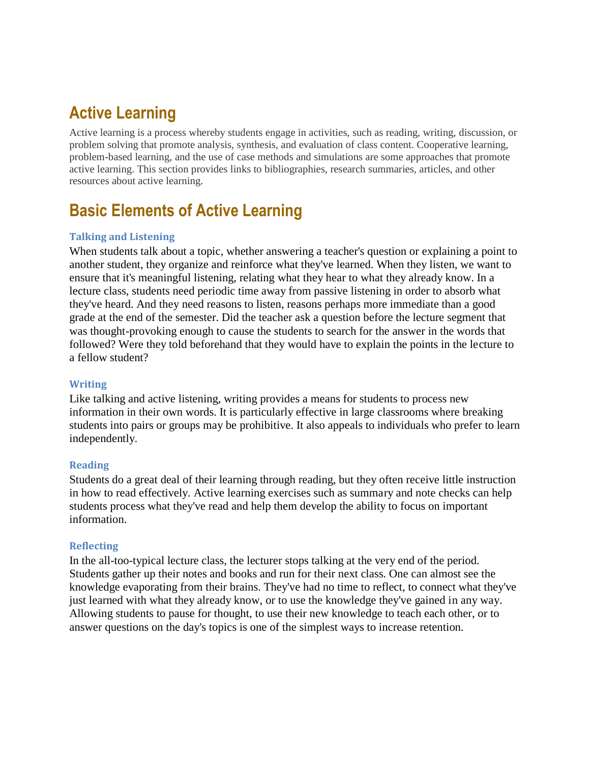# **Active Learning**

Active learning is a process whereby students engage in activities, such as reading, writing, discussion, or problem solving that promote analysis, synthesis, and evaluation of class content. Cooperative learning, problem-based learning, and the use of case methods and simulations are some approaches that promote active learning. This section provides links to bibliographies, research summaries, articles, and other resources about active learning.

### **Basic Elements of Active Learning**

#### **Talking and Listening**

When students talk about a topic, whether answering a teacher's question or explaining a point to another student, they organize and reinforce what they've learned. When they listen, we want to ensure that it's meaningful listening, relating what they hear to what they already know. In a lecture class, students need periodic time away from passive listening in order to absorb what they've heard. And they need reasons to listen, reasons perhaps more immediate than a good grade at the end of the semester. Did the teacher ask a question before the lecture segment that was thought-provoking enough to cause the students to search for the answer in the words that followed? Were they told beforehand that they would have to explain the points in the lecture to a fellow student?

#### **Writing**

Like talking and active listening, writing provides a means for students to process new information in their own words. It is particularly effective in large classrooms where breaking students into pairs or groups may be prohibitive. It also appeals to individuals who prefer to learn independently.

#### **Reading**

Students do a great deal of their learning through reading, but they often receive little instruction in how to read effectively. Active learning exercises such as summary and note checks can help students process what they've read and help them develop the ability to focus on important information.

#### **Reflecting**

In the all-too-typical lecture class, the lecturer stops talking at the very end of the period. Students gather up their notes and books and run for their next class. One can almost see the knowledge evaporating from their brains. They've had no time to reflect, to connect what they've just learned with what they already know, or to use the knowledge they've gained in any way. Allowing students to pause for thought, to use their new knowledge to teach each other, or to answer questions on the day's topics is one of the simplest ways to increase retention.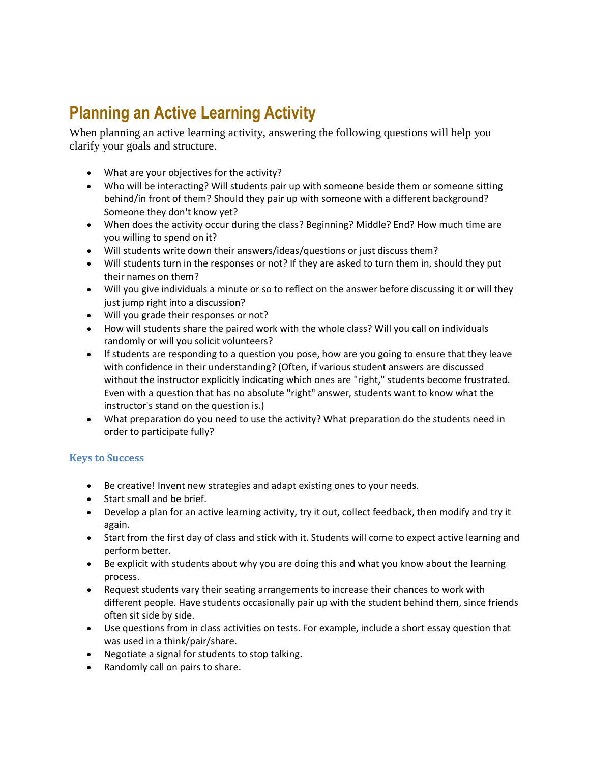# **Planning an Active Learning Activity**

When planning an active learning activity, answering the following questions will help you clarify your goals and structure.

- What are your objectives for the activity?
- Who will be interacting? Will students pair up with someone beside them or someone sitting behind/in front of them? Should they pair up with someone with a different background? Someone they don't know yet?
- When does the activity occur during the class? Beginning? Middle? End? How much time are you willing to spend on it?
- Will students write down their answers/ideas/questions or just discuss them?
- Will students turn in the responses or not? If they are asked to turn them in, should they put their names on them?
- Will you give individuals a minute or so to reflect on the answer before discussing it or will they just jump right into a discussion?
- Will you grade their responses or not?
- How will students share the paired work with the whole class? Will you call on individuals randomly or will you solicit volunteers?
- If students are responding to a question you pose, how are you going to ensure that they leave with confidence in their understanding? (Often, if various student answers are discussed without the instructor explicitly indicating which ones are "right," students become frustrated. Even with a question that has no absolute "right" answer, students want to know what the instructor's stand on the question is.)
- What preparation do you need to use the activity? What preparation do the students need in order to participate fully?

### **Keys to Success**

- Be creative! Invent new strategies and adapt existing ones to your needs.
- Start small and be brief.
- Develop a plan for an active learning activity, try it out, collect feedback, then modify and try it again.
- Start from the first day of class and stick with it. Students will come to expect active learning and perform better.
- Be explicit with students about why you are doing this and what you know about the learning process.
- Request students vary their seating arrangements to increase their chances to work with different people. Have students occasionally pair up with the student behind them, since friends often sit side by side.
- Use questions from in class activities on tests. For example, include a short essay question that was used in a think/pair/share.
- Negotiate a signal for students to stop talking.
- Randomly call on pairs to share.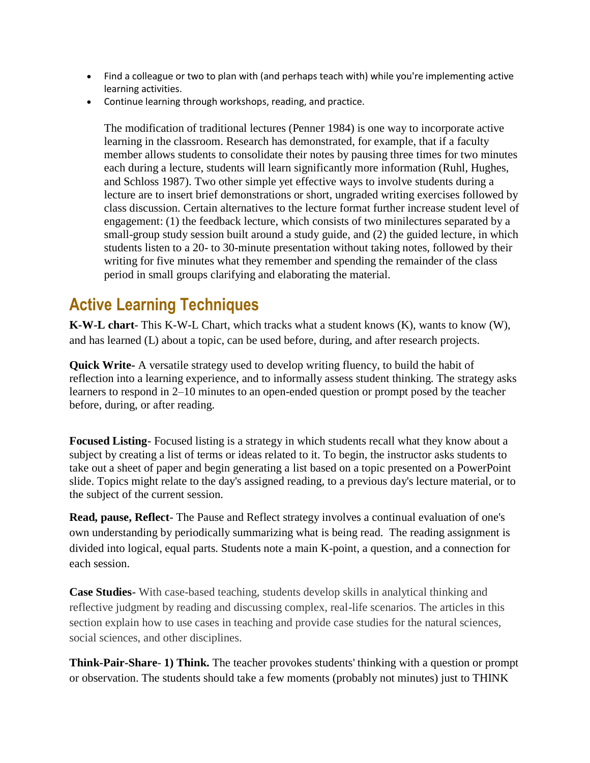- Find a colleague or two to plan with (and perhaps teach with) while you're implementing active learning activities.
- Continue learning through workshops, reading, and practice.

The modification of traditional lectures (Penner 1984) is one way to incorporate active learning in the classroom. Research has demonstrated, for example, that if a faculty member allows students to consolidate their notes by pausing three times for two minutes each during a lecture, students will learn significantly more information (Ruhl, Hughes, and Schloss 1987). Two other simple yet effective ways to involve students during a lecture are to insert brief demonstrations or short, ungraded writing exercises followed by class discussion. Certain alternatives to the lecture format further increase student level of engagement: (1) the feedback lecture, which consists of two minilectures separated by a small-group study session built around a study guide, and (2) the guided lecture, in which students listen to a 20- to 30-minute presentation without taking notes, followed by their writing for five minutes what they remember and spending the remainder of the class period in small groups clarifying and elaborating the material.

## **Active Learning Techniques**

**K-W-L chart**- This K-W-L Chart, which tracks what a student knows (K), wants to know (W), and has learned (L) about a topic, can be used before, during, and after research projects.

**Quick Write-** A versatile strategy used to develop writing fluency, to build the habit of reflection into a learning experience, and to informally assess student thinking. The strategy asks learners to respond in 2–10 minutes to an open-ended question or prompt posed by the teacher before, during, or after reading.

**Focused Listing**- Focused listing is a strategy in which students recall what they know about a subject by creating a list of terms or ideas related to it. To begin, the instructor asks students to take out a sheet of paper and begin generating a list based on a topic presented on a PowerPoint slide. Topics might relate to the day's assigned reading, to a previous day's lecture material, or to the subject of the current session.

**Read, pause, Reflect**- The Pause and Reflect strategy involves a continual evaluation of one's own understanding by periodically summarizing what is being read. The reading assignment is divided into logical, equal parts. Students note a main K-point, a question, and a connection for each session.

**Case Studies**- With case-based teaching, students develop skills in analytical thinking and reflective judgment by reading and discussing complex, real-life scenarios. The articles in this section explain how to use cases in teaching and provide case studies for the natural sciences, social sciences, and other disciplines.

**Think-Pair-Share**- **1) Think.** The teacher provokes students' thinking with a question or prompt or observation. The students should take a few moments (probably not minutes) just to THINK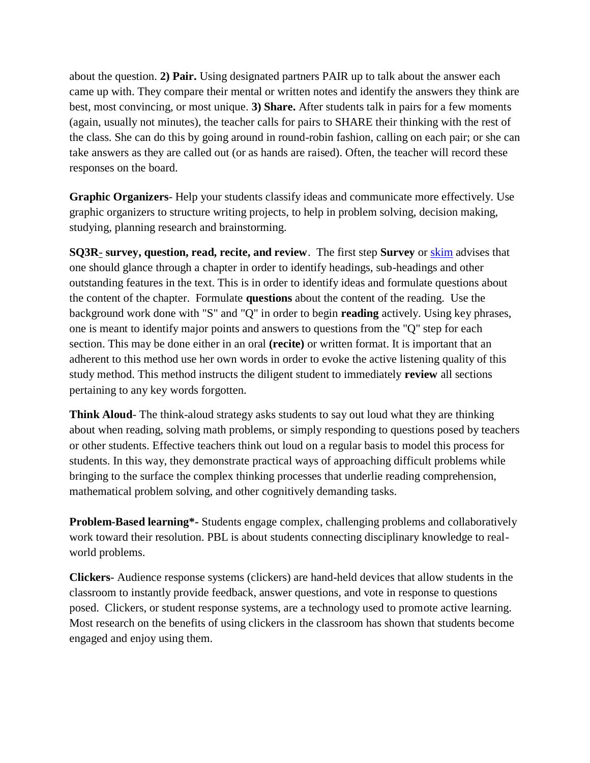about the question. **2) Pair.** Using designated partners PAIR up to talk about the answer each came up with. They compare their mental or written notes and identify the answers they think are best, most convincing, or most unique. **3) Share.** After students talk in pairs for a few moments (again, usually not minutes), the teacher calls for pairs to SHARE their thinking with the rest of the class. She can do this by going around in round-robin fashion, calling on each pair; or she can take answers as they are called out (or as hands are raised). Often, the teacher will record these responses on the board.

**Graphic Organizers**- Help your students classify ideas and communicate more effectively. Use graphic organizers to structure writing projects, to help in problem solving, decision making, studying, planning research and brainstorming.

**SQ3R**- **survey, question, read, recite, and review**. The first step **Survey** or [skim](http://en.wikipedia.org/wiki/Skimming_(reading)) advises that one should glance through a chapter in order to identify headings, sub-headings and other outstanding features in the text. This is in order to identify ideas and formulate questions about the content of the chapter. Formulate **questions** about the content of the reading. Use the background work done with "S" and "Q" in order to begin **reading** actively. Using key phrases, one is meant to identify major points and answers to questions from the "Q" step for each section. This may be done either in an oral **(recite)** or written format. It is important that an adherent to this method use her own words in order to evoke the active listening quality of this study method. This method instructs the diligent student to immediately **review** all sections pertaining to any key words forgotten.

**Think Aloud**- The think-aloud strategy asks students to say out loud what they are thinking about when reading, solving math problems, or simply responding to questions posed by teachers or other students. Effective teachers think out loud on a regular basis to model this process for students. In this way, they demonstrate practical ways of approaching difficult problems while bringing to the surface the complex thinking processes that underlie reading comprehension, mathematical problem solving, and other cognitively demanding tasks.

**Problem-Based learning\*-** Students engage complex, challenging problems and collaboratively work toward their resolution. PBL is about students connecting disciplinary knowledge to realworld problems.

**Clickers**- Audience response systems (clickers) are hand-held devices that allow students in the classroom to instantly provide feedback, answer questions, and vote in response to questions posed. Clickers, or student response systems, are a technology used to promote active learning. Most research on the benefits of using clickers in the classroom has shown that students become engaged and enjoy using them.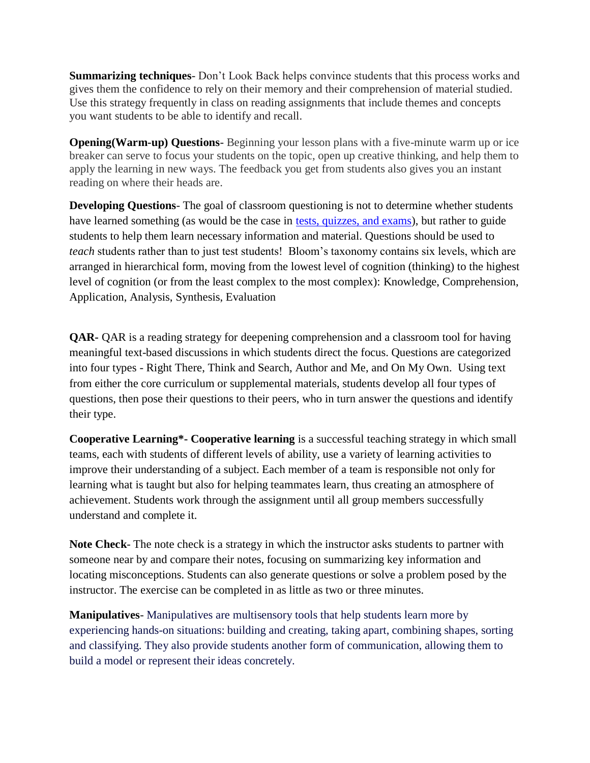**Summarizing techniques**- Don't Look Back helps convince students that this process works and gives them the confidence to rely on their memory and their comprehension of material studied. Use this strategy frequently in class on reading assignments that include themes and concepts you want students to be able to identify and recall.

**Opening(Warm-up) Questions**- Beginning your lesson plans with a five-minute warm up or ice breaker can serve to focus your students on the topic, open up creative thinking, and help them to apply the learning in new ways. The feedback you get from students also gives you an instant reading on where their heads are.

**Developing Questions**- The goal of classroom questioning is not to determine whether students have learned something (as would be the case in [tests, quizzes, and exams\)](http://www.teachervision.fen.com/assessment/new-teacher/48354.html), but rather to guide students to help them learn necessary information and material. Questions should be used to *teach* students rather than to just test students! Bloom's taxonomy contains six levels, which are arranged in hierarchical form, moving from the lowest level of cognition (thinking) to the highest level of cognition (or from the least complex to the most complex): Knowledge, Comprehension, Application, Analysis, Synthesis, Evaluation

**QAR-** QAR is a reading strategy for deepening comprehension and a classroom tool for having meaningful text-based discussions in which students direct the focus. Questions are categorized into four types - Right There, Think and Search, Author and Me, and On My Own. Using text from either the core curriculum or supplemental materials, students develop all four types of questions, then pose their questions to their peers, who in turn answer the questions and identify their type.

**Cooperative Learning\*- Cooperative learning** is a successful teaching strategy in which small teams, each with students of different levels of ability, use a variety of learning activities to improve their understanding of a subject. Each member of a team is responsible not only for learning what is taught but also for helping teammates learn, thus creating an atmosphere of achievement. Students work through the assignment until all group members successfully understand and complete it.

**Note Check**- The note check is a strategy in which the instructor asks students to partner with someone near by and compare their notes, focusing on summarizing key information and locating misconceptions. Students can also generate questions or solve a problem posed by the instructor. The exercise can be completed in as little as two or three minutes.

**Manipulatives**- Manipulatives are multisensory tools that help students learn more by experiencing hands-on situations: building and creating, taking apart, combining shapes, sorting and classifying. They also provide students another form of communication, allowing them to build a model or represent their ideas concretely.